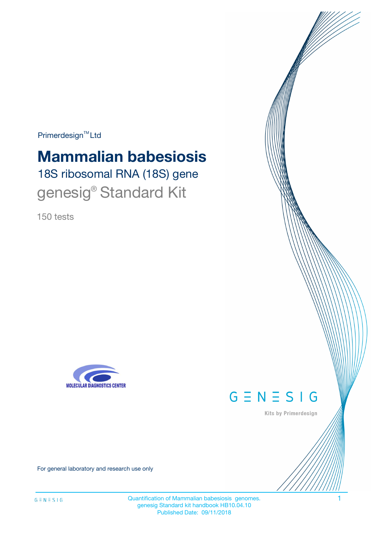$Primerdesign^{\text{TM}}Ltd$ 

# 18S ribosomal RNA (18S) gene **Mammalian babesiosis**

genesig<sup>®</sup> Standard Kit

150 tests





Kits by Primerdesign

For general laboratory and research use only

Quantification of Mammalian babesiosis genomes. 1 genesig Standard kit handbook HB10.04.10 Published Date: 09/11/2018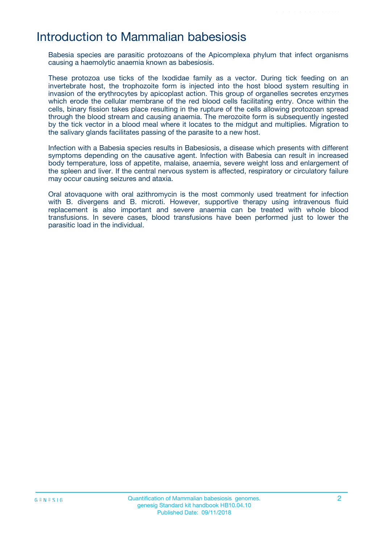## Introduction to Mammalian babesiosis

Babesia species are parasitic protozoans of the Apicomplexa phylum that infect organisms causing a haemolytic anaemia known as babesiosis.

These protozoa use ticks of the Ixodidae family as a vector. During tick feeding on an invertebrate host, the trophozoite form is injected into the host blood system resulting in invasion of the erythrocytes by apicoplast action. This group of organelles secretes enzymes which erode the cellular membrane of the red blood cells facilitating entry. Once within the cells, binary fission takes place resulting in the rupture of the cells allowing protozoan spread through the blood stream and causing anaemia. The merozoite form is subsequently ingested by the tick vector in a blood meal where it locates to the midgut and multiplies. Migration to the salivary glands facilitates passing of the parasite to a new host.

Infection with a Babesia species results in Babesiosis, a disease which presents with different symptoms depending on the causative agent. Infection with Babesia can result in increased body temperature, loss of appetite, malaise, anaemia, severe weight loss and enlargement of the spleen and liver. If the central nervous system is affected, respiratory or circulatory failure may occur causing seizures and ataxia.

Oral atovaquone with oral azithromycin is the most commonly used treatment for infection with B. divergens and B. microti. However, supportive therapy using intravenous fluid replacement is also important and severe anaemia can be treated with whole blood transfusions. In severe cases, blood transfusions have been performed just to lower the parasitic load in the individual.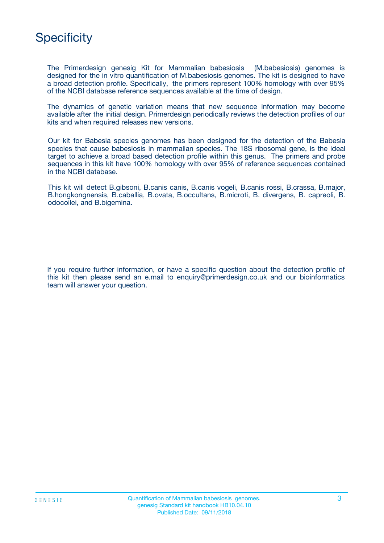

The Primerdesign genesig Kit for Mammalian babesiosis (M.babesiosis) genomes is designed for the in vitro quantification of M.babesiosis genomes. The kit is designed to have a broad detection profile. Specifically, the primers represent 100% homology with over 95% of the NCBI database reference sequences available at the time of design.

The dynamics of genetic variation means that new sequence information may become available after the initial design. Primerdesign periodically reviews the detection profiles of our kits and when required releases new versions.

Our kit for Babesia species genomes has been designed for the detection of the Babesia species that cause babesiosis in mammalian species. The 18S ribosomal gene, is the ideal target to achieve a broad based detection profile within this genus. The primers and probe sequences in this kit have 100% homology with over 95% of reference sequences contained in the NCBI database.

This kit will detect B.gibsoni, B.canis canis, B.canis vogeli, B.canis rossi, B.crassa, B.major, B.hongkongnensis, B.caballia, B.ovata, B.occultans, B.microti, B. divergens, B. capreoli, B. odocoilei, and B.bigemina.

If you require further information, or have a specific question about the detection profile of this kit then please send an e.mail to enquiry@primerdesign.co.uk and our bioinformatics team will answer your question.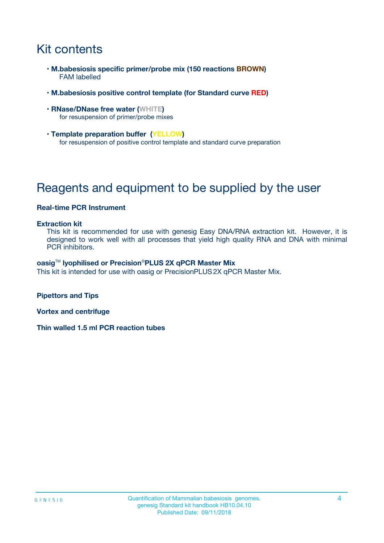## Kit contents

- **M.babesiosis specific primer/probe mix (150 reactions BROWN)** FAM labelled
- **M.babesiosis positive control template (for Standard curve RED)**
- **RNase/DNase free water (WHITE)** for resuspension of primer/probe mixes
- **Template preparation buffer (YELLOW)** for resuspension of positive control template and standard curve preparation

## Reagents and equipment to be supplied by the user

#### **Real-time PCR Instrument**

#### **Extraction kit**

This kit is recommended for use with genesig Easy DNA/RNA extraction kit. However, it is designed to work well with all processes that yield high quality RNA and DNA with minimal PCR inhibitors.

#### **oasig**TM **lyophilised or Precision**®**PLUS 2X qPCR Master Mix**

This kit is intended for use with oasig or PrecisionPLUS2X qPCR Master Mix.

**Pipettors and Tips**

**Vortex and centrifuge**

**Thin walled 1.5 ml PCR reaction tubes**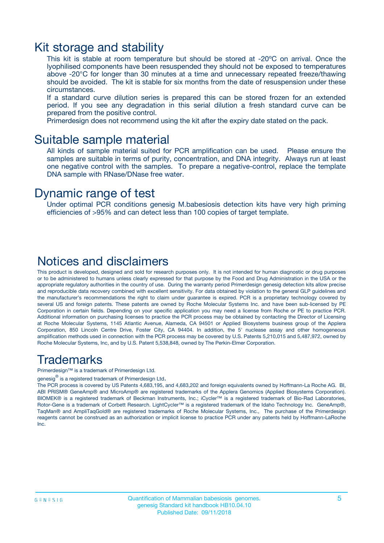### Kit storage and stability

This kit is stable at room temperature but should be stored at -20ºC on arrival. Once the lyophilised components have been resuspended they should not be exposed to temperatures above -20°C for longer than 30 minutes at a time and unnecessary repeated freeze/thawing should be avoided. The kit is stable for six months from the date of resuspension under these circumstances.

If a standard curve dilution series is prepared this can be stored frozen for an extended period. If you see any degradation in this serial dilution a fresh standard curve can be prepared from the positive control.

Primerdesign does not recommend using the kit after the expiry date stated on the pack.

### Suitable sample material

All kinds of sample material suited for PCR amplification can be used. Please ensure the samples are suitable in terms of purity, concentration, and DNA integrity. Always run at least one negative control with the samples. To prepare a negative-control, replace the template DNA sample with RNase/DNase free water.

### Dynamic range of test

Under optimal PCR conditions genesig M.babesiosis detection kits have very high priming efficiencies of >95% and can detect less than 100 copies of target template.

### Notices and disclaimers

This product is developed, designed and sold for research purposes only. It is not intended for human diagnostic or drug purposes or to be administered to humans unless clearly expressed for that purpose by the Food and Drug Administration in the USA or the appropriate regulatory authorities in the country of use. During the warranty period Primerdesign genesig detection kits allow precise and reproducible data recovery combined with excellent sensitivity. For data obtained by violation to the general GLP guidelines and the manufacturer's recommendations the right to claim under guarantee is expired. PCR is a proprietary technology covered by several US and foreign patents. These patents are owned by Roche Molecular Systems Inc. and have been sub-licensed by PE Corporation in certain fields. Depending on your specific application you may need a license from Roche or PE to practice PCR. Additional information on purchasing licenses to practice the PCR process may be obtained by contacting the Director of Licensing at Roche Molecular Systems, 1145 Atlantic Avenue, Alameda, CA 94501 or Applied Biosystems business group of the Applera Corporation, 850 Lincoln Centre Drive, Foster City, CA 94404. In addition, the 5' nuclease assay and other homogeneous amplification methods used in connection with the PCR process may be covered by U.S. Patents 5,210,015 and 5,487,972, owned by Roche Molecular Systems, Inc, and by U.S. Patent 5,538,848, owned by The Perkin-Elmer Corporation.

### Trademarks

Primerdesign™ is a trademark of Primerdesign Ltd.

genesig $^\circledR$  is a registered trademark of Primerdesign Ltd.

The PCR process is covered by US Patents 4,683,195, and 4,683,202 and foreign equivalents owned by Hoffmann-La Roche AG. BI, ABI PRISM® GeneAmp® and MicroAmp® are registered trademarks of the Applera Genomics (Applied Biosystems Corporation). BIOMEK® is a registered trademark of Beckman Instruments, Inc.; iCycler™ is a registered trademark of Bio-Rad Laboratories, Rotor-Gene is a trademark of Corbett Research. LightCycler™ is a registered trademark of the Idaho Technology Inc. GeneAmp®, TaqMan® and AmpliTaqGold® are registered trademarks of Roche Molecular Systems, Inc., The purchase of the Primerdesign reagents cannot be construed as an authorization or implicit license to practice PCR under any patents held by Hoffmann-LaRoche Inc.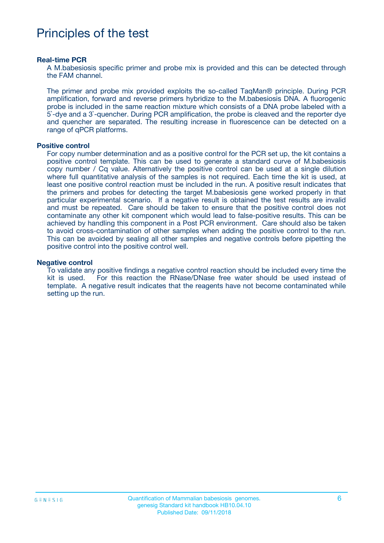## Principles of the test

#### **Real-time PCR**

A M.babesiosis specific primer and probe mix is provided and this can be detected through the FAM channel.

The primer and probe mix provided exploits the so-called TaqMan® principle. During PCR amplification, forward and reverse primers hybridize to the M.babesiosis DNA. A fluorogenic probe is included in the same reaction mixture which consists of a DNA probe labeled with a 5`-dye and a 3`-quencher. During PCR amplification, the probe is cleaved and the reporter dye and quencher are separated. The resulting increase in fluorescence can be detected on a range of qPCR platforms.

#### **Positive control**

For copy number determination and as a positive control for the PCR set up, the kit contains a positive control template. This can be used to generate a standard curve of M.babesiosis copy number / Cq value. Alternatively the positive control can be used at a single dilution where full quantitative analysis of the samples is not required. Each time the kit is used, at least one positive control reaction must be included in the run. A positive result indicates that the primers and probes for detecting the target M.babesiosis gene worked properly in that particular experimental scenario. If a negative result is obtained the test results are invalid and must be repeated. Care should be taken to ensure that the positive control does not contaminate any other kit component which would lead to false-positive results. This can be achieved by handling this component in a Post PCR environment. Care should also be taken to avoid cross-contamination of other samples when adding the positive control to the run. This can be avoided by sealing all other samples and negative controls before pipetting the positive control into the positive control well.

#### **Negative control**

To validate any positive findings a negative control reaction should be included every time the kit is used. For this reaction the RNase/DNase free water should be used instead of template. A negative result indicates that the reagents have not become contaminated while setting up the run.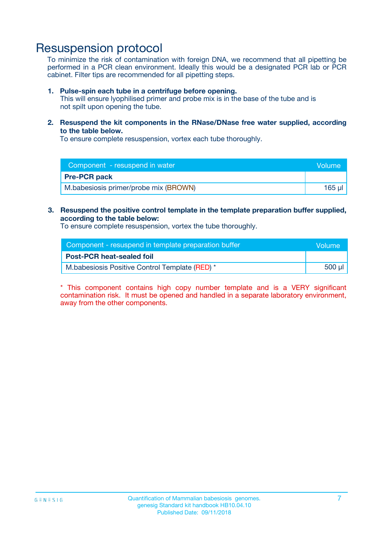## Resuspension protocol

To minimize the risk of contamination with foreign DNA, we recommend that all pipetting be performed in a PCR clean environment. Ideally this would be a designated PCR lab or PCR cabinet. Filter tips are recommended for all pipetting steps.

#### **1. Pulse-spin each tube in a centrifuge before opening.**

This will ensure lyophilised primer and probe mix is in the base of the tube and is not spilt upon opening the tube.

**2. Resuspend the kit components in the RNase/DNase free water supplied, according to the table below.**

To ensure complete resuspension, vortex each tube thoroughly.

| Component - resuspend in water        | Volume |
|---------------------------------------|--------|
| <b>Pre-PCR pack</b>                   |        |
| M.babesiosis primer/probe mix (BROWN) | 165 ul |

### **3. Resuspend the positive control template in the template preparation buffer supplied, according to the table below:**

To ensure complete resuspension, vortex the tube thoroughly.

| Component - resuspend in template preparation buffer | Wolume' |
|------------------------------------------------------|---------|
| <b>Post-PCR heat-sealed foil</b>                     |         |
| M.babesiosis Positive Control Template (RED) *       | 500 µl  |

\* This component contains high copy number template and is a VERY significant contamination risk. It must be opened and handled in a separate laboratory environment, away from the other components.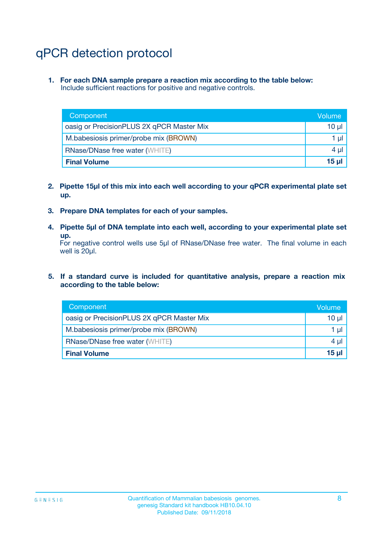## qPCR detection protocol

**1. For each DNA sample prepare a reaction mix according to the table below:** Include sufficient reactions for positive and negative controls.

| Component                                 | Volume          |
|-------------------------------------------|-----------------|
| oasig or PrecisionPLUS 2X qPCR Master Mix | 10 $\mu$        |
| M.babesiosis primer/probe mix (BROWN)     | 1 $\mu$         |
| <b>RNase/DNase free water (WHITE)</b>     | $4 \mu$         |
| <b>Final Volume</b>                       | 15 <sub>µ</sub> |

- **2. Pipette 15µl of this mix into each well according to your qPCR experimental plate set up.**
- **3. Prepare DNA templates for each of your samples.**
- **4. Pipette 5µl of DNA template into each well, according to your experimental plate set up.**

For negative control wells use 5µl of RNase/DNase free water. The final volume in each well is 20µl.

**5. If a standard curve is included for quantitative analysis, prepare a reaction mix according to the table below:**

| Component                                 | Volume     |
|-------------------------------------------|------------|
| oasig or PrecisionPLUS 2X qPCR Master Mix | 10 µl      |
| M.babesiosis primer/probe mix (BROWN)     | 1 µI       |
| <b>RNase/DNase free water (WHITE)</b>     | $4 \mu$    |
| <b>Final Volume</b>                       | $15$ $\mu$ |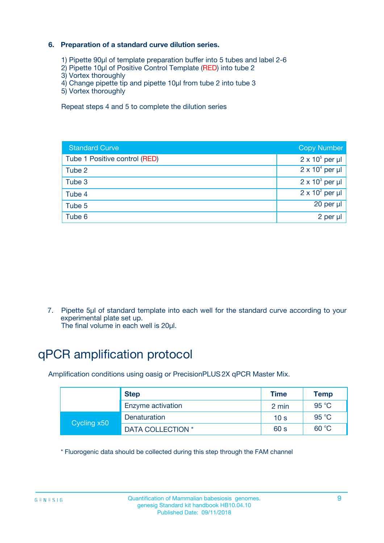### **6. Preparation of a standard curve dilution series.**

- 1) Pipette 90µl of template preparation buffer into 5 tubes and label 2-6
- 2) Pipette 10µl of Positive Control Template (RED) into tube 2
- 3) Vortex thoroughly
- 4) Change pipette tip and pipette 10µl from tube 2 into tube 3
- 5) Vortex thoroughly

Repeat steps 4 and 5 to complete the dilution series

| <b>Standard Curve</b>         | <b>Copy Number</b>     |
|-------------------------------|------------------------|
| Tube 1 Positive control (RED) | $2 \times 10^5$ per µl |
| Tube 2                        | $2 \times 10^4$ per µl |
| Tube 3                        | $2 \times 10^3$ per µl |
| Tube 4                        | $2 \times 10^2$ per µl |
| Tube 5                        | 20 per µl              |
| Tube 6                        | $2$ per $\mu$          |

7. Pipette 5µl of standard template into each well for the standard curve according to your experimental plate set up.

The final volume in each well is 20µl.

## qPCR amplification protocol

Amplification conditions using oasig or PrecisionPLUS2X qPCR Master Mix.

|             | <b>Step</b>       | <b>Time</b>     | Temp           |
|-------------|-------------------|-----------------|----------------|
|             | Enzyme activation | 2 min           | $95^{\circ}$ C |
| Cycling x50 | Denaturation      | 10 <sub>s</sub> | 95 $°C$        |
|             | DATA COLLECTION * | 60 s            | 60 °C          |

\* Fluorogenic data should be collected during this step through the FAM channel